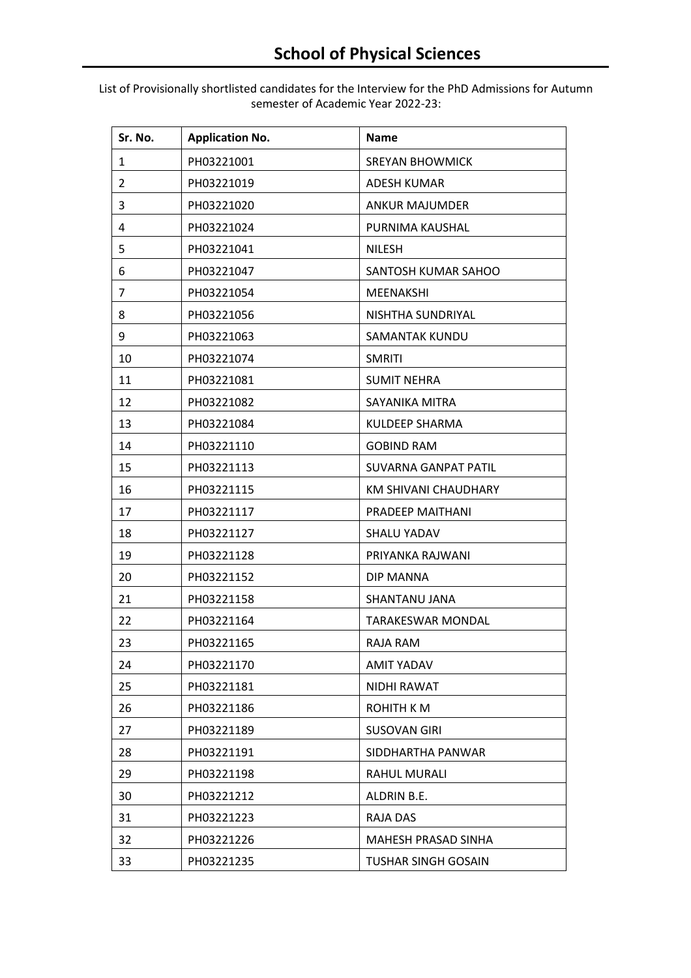List of Provisionally shortlisted candidates for the Interview for the PhD Admissions for Autumn semester of Academic Year 2022-23:

| Sr. No.        | <b>Application No.</b> | <b>Name</b>                |
|----------------|------------------------|----------------------------|
| 1              | PH03221001             | <b>SREYAN BHOWMICK</b>     |
| $\overline{2}$ | PH03221019             | <b>ADESH KUMAR</b>         |
| 3              | PH03221020             | <b>ANKUR MAJUMDER</b>      |
| 4              | PH03221024             | PURNIMA KAUSHAL            |
| 5              | PH03221041             | <b>NILESH</b>              |
| 6              | PH03221047             | SANTOSH KUMAR SAHOO        |
| 7              | PH03221054             | <b>MEENAKSHI</b>           |
| 8              | PH03221056             | NISHTHA SUNDRIYAL          |
| 9              | PH03221063             | SAMANTAK KUNDU             |
| 10             | PH03221074             | <b>SMRITI</b>              |
| 11             | PH03221081             | <b>SUMIT NEHRA</b>         |
| 12             | PH03221082             | SAYANIKA MITRA             |
| 13             | PH03221084             | KULDEEP SHARMA             |
| 14             | PH03221110             | <b>GOBIND RAM</b>          |
| 15             | PH03221113             | SUVARNA GANPAT PATIL       |
| 16             | PH03221115             | KM SHIVANI CHAUDHARY       |
| 17             | PH03221117             | PRADEEP MAITHANI           |
| 18             | PH03221127             | <b>SHALU YADAV</b>         |
| 19             | PH03221128             | PRIYANKA RAJWANI           |
| 20             | PH03221152             | DIP MANNA                  |
| 21             | PH03221158             | SHANTANU JANA              |
| 22             | PH03221164             | <b>TARAKESWAR MONDAL</b>   |
| 23             | PH03221165             | RAJA RAM                   |
| 24             | PH03221170             | <b>AMIT YADAV</b>          |
| 25             | PH03221181             | NIDHI RAWAT                |
| 26             | PH03221186             | <b>ROHITH KM</b>           |
| 27             | PH03221189             | <b>SUSOVAN GIRI</b>        |
| 28             | PH03221191             | SIDDHARTHA PANWAR          |
| 29             | PH03221198             | RAHUL MURALI               |
| 30             | PH03221212             | ALDRIN B.E.                |
| 31             | PH03221223             | RAJA DAS                   |
| 32             | PH03221226             | MAHESH PRASAD SINHA        |
| 33             | PH03221235             | <b>TUSHAR SINGH GOSAIN</b> |